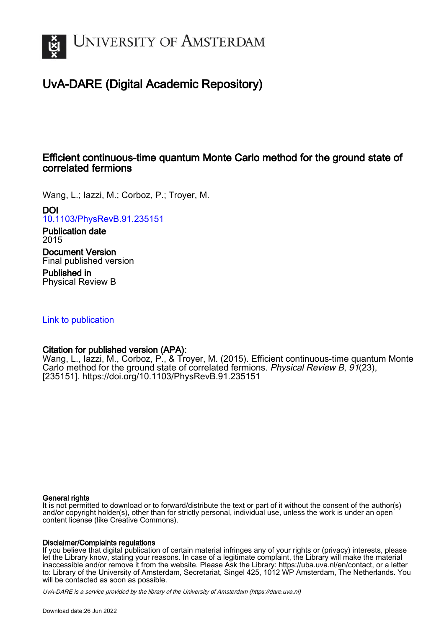

# UvA-DARE (Digital Academic Repository)

## Efficient continuous-time quantum Monte Carlo method for the ground state of correlated fermions

Wang, L.; Iazzi, M.; Corboz, P.; Troyer, M.

## DOI

[10.1103/PhysRevB.91.235151](https://doi.org/10.1103/PhysRevB.91.235151)

### Publication date 2015

Document Version Final published version

Published in Physical Review B

## [Link to publication](https://dare.uva.nl/personal/pure/en/publications/efficient-continuoustime-quantum-monte-carlo-method-for-the-ground-state-of-correlated-fermions(d39b2314-30cc-4e0b-94b6-06a4471be071).html)

## Citation for published version (APA):

Wang, L., Iazzi, M., Corboz, P., & Troyer, M. (2015). Efficient continuous-time quantum Monte Carlo method for the ground state of correlated fermions. Physical Review B, 91(23), [235151].<https://doi.org/10.1103/PhysRevB.91.235151>

### General rights

It is not permitted to download or to forward/distribute the text or part of it without the consent of the author(s) and/or copyright holder(s), other than for strictly personal, individual use, unless the work is under an open content license (like Creative Commons).

### Disclaimer/Complaints regulations

If you believe that digital publication of certain material infringes any of your rights or (privacy) interests, please let the Library know, stating your reasons. In case of a legitimate complaint, the Library will make the material inaccessible and/or remove it from the website. Please Ask the Library: https://uba.uva.nl/en/contact, or a letter to: Library of the University of Amsterdam, Secretariat, Singel 425, 1012 WP Amsterdam, The Netherlands. You will be contacted as soon as possible.

UvA-DARE is a service provided by the library of the University of Amsterdam (http*s*://dare.uva.nl)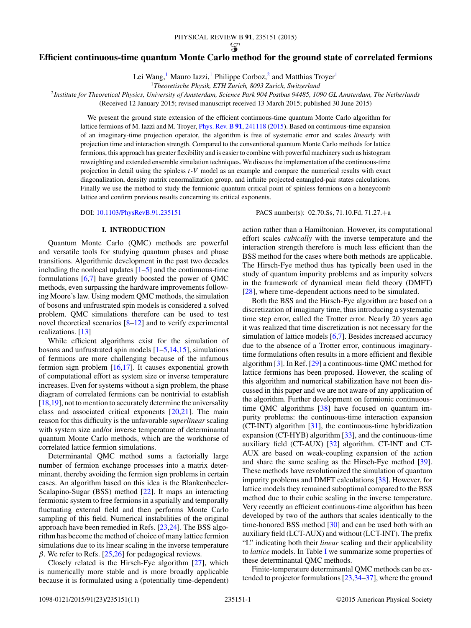### **Efficient continuous-time quantum Monte Carlo method for the ground state of correlated fermions**

Lei Wang,<sup>1</sup> Mauro Iazzi,<sup>1</sup> Philippe Corboz,<sup>2</sup> and Matthias Troyer<sup>1</sup>

<sup>1</sup>*Theoretische Physik, ETH Zurich, 8093 Zurich, Switzerland*

<sup>2</sup>*Institute for Theoretical Physics, University of Amsterdam, Science Park 904 Postbus 94485, 1090 GL Amsterdam, The Netherlands*

(Received 12 January 2015; revised manuscript received 13 March 2015; published 30 June 2015)

We present the ground state extension of the efficient continuous-time quantum Monte Carlo algorithm for lattice fermions of M. Iazzi and M. Troyer, [Phys. Rev. B](http://dx.doi.org/10.1103/PhysRevB.91.241118) **[91](http://dx.doi.org/10.1103/PhysRevB.91.241118)**, [241118](http://dx.doi.org/10.1103/PhysRevB.91.241118) [\(2015\)](http://dx.doi.org/10.1103/PhysRevB.91.241118). Based on continuous-time expansion of an imaginary-time projection operator, the algorithm is free of systematic error and scales *linearly* with projection time and interaction strength. Compared to the conventional quantum Monte Carlo methods for lattice fermions, this approach has greater flexibility and is easier to combine with powerful machinery such as histogram reweighting and extended ensemble simulation techniques. We discuss the implementation of the continuous-time projection in detail using the spinless *t*-*V* model as an example and compare the numerical results with exact diagonalization, density matrix renormalization group, and infinite projected entangled-pair states calculations. Finally we use the method to study the fermionic quantum critical point of spinless fermions on a honeycomb lattice and confirm previous results concerning its critical exponents.

DOI: [10.1103/PhysRevB.91.235151](http://dx.doi.org/10.1103/PhysRevB.91.235151) PACS number(s): 02*.*70*.*Ss*,* 71*.*10*.*Fd*,* 71*.*27*.*+a

#### **I. INTRODUCTION**

Quantum Monte Carlo (QMC) methods are powerful and versatile tools for studying quantum phases and phase transitions. Algorithmic development in the past two decades including the nonlocal updates  $[1-5]$  $[1-5]$  and the continuous-time formulations  $[6,7]$  have greatly boosted the power of QMC methods, even surpassing the hardware improvements following Moore's law. Using modern QMC methods, the simulation of bosons and unfrustrated spin models is considered a solved problem. QMC simulations therefore can be used to test novel theoretical scenarios [\[8–12\]](#page-10-0) and to verify experimental realizations. [\[13\]](#page-10-0)

While efficient algorithms exist for the simulation of bosons and unfrustrated spin models  $[1–5,14,15]$  $[1–5,14,15]$ , simulations of fermions are more challenging because of the infamous fermion sign problem [\[16,17\]](#page-10-0). It causes exponential growth of computational effort as system size or inverse temperature increases. Even for systems without a sign problem, the phase diagram of correlated fermions can be nontrivial to establish [\[18,19\]](#page-10-0), not to mention to accurately determine the universality class and associated critical exponents  $[20,21]$ . The main reason for this difficulty is the unfavorable *superlinear* scaling with system size and/or inverse temperature of determinantal quantum Monte Carlo methods, which are the workhorse of correlated lattice fermion simulations.

Determinantal QMC method sums a factorially large number of fermion exchange processes into a matrix determinant, thereby avoiding the fermion sign problems in certain cases. An algorithm based on this idea is the Blankenbecler-Scalapino-Sugar (BSS) method [\[22\]](#page-10-0). It maps an interacting fermionic system to free fermions in a spatially and temporally fluctuating external field and then performs Monte Carlo sampling of this field. Numerical instabilities of the original approach have been remedied in Refs. [\[23,24\]](#page-10-0). The BSS algorithm has become the method of choice of many lattice fermion simulations due to its linear scaling in the inverse temperature *β*. We refer to Refs. [\[25,26\]](#page-10-0) for pedagogical reviews.

Closely related is the Hirsch-Fye algorithm [\[27\]](#page-10-0), which is numerically more stable and is more broadly applicable because it is formulated using a (potentially time-dependent) action rather than a Hamiltonian. However, its computational effort scales *cubically* with the inverse temperature and the interaction strength therefore is much less efficient than the BSS method for the cases where both methods are applicable. The Hirsch-Fye method thus has typically been used in the study of quantum impurity problems and as impurity solvers in the framework of dynamical mean field theory (DMFT) [\[28\]](#page-10-0), where time-dependent actions need to be simulated.

Both the BSS and the Hirsch-Fye algorithm are based on a discretization of imaginary time, thus introducing a systematic time step error, called the Trotter error. Nearly 20 years ago it was realized that time discretization is not necessary for the simulation of lattice models [\[6,7\]](#page-10-0). Besides increased accuracy due to the absence of a Trotter error, continuous imaginarytime formulations often results in a more efficient and flexible algorithm [\[3\]](#page-9-0). In Ref. [\[29\]](#page-10-0) a continuous-time QMC method for lattice fermions has been proposed. However, the scaling of this algorithm and numerical stabilization have not been discussed in this paper and we are not aware of any application of the algorithm. Further development on fermionic continuoustime QMC algorithms [\[38\]](#page-10-0) have focused on quantum impurity problems: the continuous-time interaction expansion (CT-INT) algorithm [\[31\]](#page-10-0), the continuous-time hybridization expansion (CT-HYB) algorithm [\[33\]](#page-10-0), and the continuous-time auxiliary field (CT-AUX) [\[32\]](#page-10-0) algorithm. CT-INT and CT-AUX are based on weak-coupling expansion of the action and share the same scaling as the Hirsch-Fye method [\[39\]](#page-10-0). These methods have revolutionized the simulation of quantum impurity problems and DMFT calculations [\[38\]](#page-10-0). However, for lattice models they remained suboptimal compared to the BSS method due to their cubic scaling in the inverse temperature. Very recently an efficient continuous-time algorithm has been developed by two of the authors that scales identically to the time-honored BSS method [\[30\]](#page-10-0) and can be used both with an auxiliary field (LCT-AUX) and without (LCT-INT). The prefix "L" indicating both their *linear* scaling and their applicability to *lattice* models. In Table [I](#page-2-0) we summarize some properties of these determinantal QMC methods.

Finite-temperature determinantal QMC methods can be extended to projector formulations [\[23,34–37\]](#page-10-0), where the ground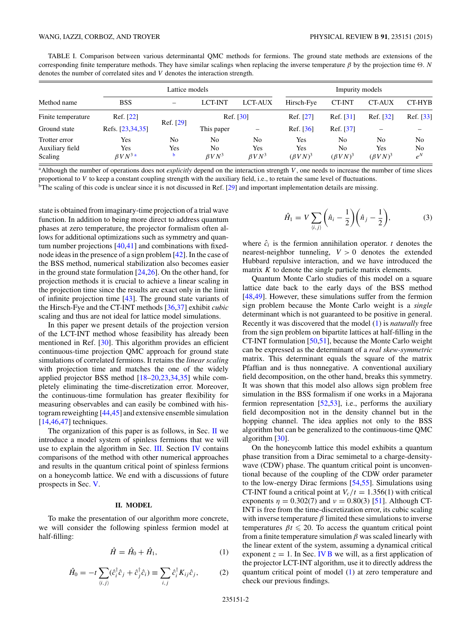<span id="page-2-0"></span>TABLE I. Comparison between various determinantal QMC methods for fermions. The ground state methods are extensions of the corresponding finite temperature methods. They have similar scalings when replacing the inverse temperature  $\beta$  by the projection time  $\Theta$ . *N* denotes the number of correlated sites and *V* denotes the interaction strength.

| Method name        | Lattice models   |                          |                |                          | Impurity models |                 |                 |                |
|--------------------|------------------|--------------------------|----------------|--------------------------|-----------------|-----------------|-----------------|----------------|
|                    | <b>BSS</b>       | $\overline{\phantom{0}}$ | <b>LCT-INT</b> | <b>LCT-AUX</b>           | Hirsch-Fye      | <b>CT-INT</b>   | <b>CT-AUX</b>   | CT-HYB         |
| Finite temperature | Ref. [22]        |                          | Ref. [30]      |                          | Ref. [27]       | Ref. [31]       | Ref. [32]       | Ref. [33]      |
| Ground state       | Refs. [23,34,35] | Ref. [29]                | This paper     | $\overline{\phantom{0}}$ | Ref. [36]       | Ref. [37]       |                 |                |
| Trotter error      | Yes              | No                       | No             | No                       | Yes             | No              | N <sub>0</sub>  | N <sub>0</sub> |
| Auxiliary field    | Yes              | Yes                      | No             | Yes                      | Yes             | No              | Yes             | N <sub>0</sub> |
| Scaling            | $\beta V N^3$ a  | b                        | $\beta V N^3$  | $\beta V N^3$            | $(\beta V N)^3$ | $(\beta V N)^3$ | $(\beta V N)^3$ | $e^N$          |

a Although the number of operations does not *explicitly* depend on the interaction strength *V* , one needs to increase the number of time slices proportional to *V* to keep a constant coupling strength with the auxiliary field, i.e., to retain the same level of fluctuations.

 $b$ The scaling of this code is unclear since it is not discussed in Ref. [\[29\]](#page-10-0) and important implementation details are missing.

state is obtained from imaginary-time projection of a trial wave function. In addition to being more direct to address quantum phases at zero temperature, the projector formalism often allows for additional optimizations such as symmetry and quantum number projections [\[40,41\]](#page-10-0) and combinations with fixednode ideas in the presence of a sign problem [\[42\]](#page-10-0). In the case of the BSS method, numerical stabilization also becomes easier in the ground state formulation  $[24,26]$ . On the other hand, for projection methods it is crucial to achieve a linear scaling in the projection time since the results are exact only in the limit of infinite projection time [\[43\]](#page-10-0). The ground state variants of the Hirsch-Fye and the CT-INT methods [\[36,37\]](#page-10-0) exhibit *cubic* scaling and thus are not ideal for lattice model simulations.

In this paper we present details of the projection version of the LCT-INT method whose feasibility has already been mentioned in Ref. [\[30\]](#page-10-0). This algorithm provides an efficient continuous-time projection QMC approach for ground state simulations of correlated fermions. It retains the *linear scaling* with projection time and matches the one of the widely applied projector BSS method [\[18–20,23,34,35\]](#page-10-0) while completely eliminating the time-discretization error. Moreover, the continuous-time formulation has greater flexibility for measuring observables and can easily be combined with histogram reweighting [\[44,45\]](#page-10-0) and extensive ensemble simulation  $[14, 46, 47]$  techniques.

The organization of this paper is as follows, in Sec. II we introduce a model system of spinless fermions that we will use to explain the algorithm in Sec. [III.](#page-3-0) Section [IV](#page-6-0) contains comparisons of the method with other numerical approaches and results in the quantum critical point of spinless fermions on a honeycomb lattice. We end with a discussions of future prospects in Sec. [V.](#page-8-0)

### **II. MODEL**

To make the presentation of our algorithm more concrete, we will consider the following spinless fermion model at half-filling:

$$
\hat{H} = \hat{H}_0 + \hat{H}_1,\tag{1}
$$

$$
\hat{H}_0 = -t \sum_{\langle i,j \rangle} (\hat{c}_i^{\dagger} \hat{c}_j + \hat{c}_j^{\dagger} \hat{c}_i) \equiv \sum_{i,j} \hat{c}_i^{\dagger} K_{ij} \hat{c}_j, \tag{2}
$$

$$
\hat{H}_1 = V \sum_{\langle i,j \rangle} \left( \hat{n}_i - \frac{1}{2} \right) \left( \hat{n}_j - \frac{1}{2} \right), \tag{3}
$$

where  $\hat{c}_i$  is the fermion annihilation operator. *t* denotes the nearest-neighbor tunneling,  $V > 0$  denotes the extended Hubbard repulsive interaction, and we have introduced the matrix *K* to denote the single particle matrix elements.

Quantum Monte Carlo studies of this model on a square lattice date back to the early days of the BSS method [\[48,49\]](#page-10-0). However, these simulations suffer from the fermion sign problem because the Monte Carlo weight is a *single* determinant which is not guaranteed to be positive in general. Recently it was discovered that the model (1) is *naturally* free from the sign problem on bipartite lattices at half-filling in the CT-INT formulation [\[50,51\]](#page-10-0), because the Monte Carlo weight can be expressed as the determinant of a *real skew-symmetric* matrix. This determinant equals the square of the matrix Pfaffian and is thus nonnegative. A conventional auxiliary field decomposition, on the other hand, breaks this symmetry. It was shown that this model also allows sign problem free simulation in the BSS formalism if one works in a Majorana fermion representation [\[52,53\]](#page-10-0), i.e., performs the auxiliary field decomposition not in the density channel but in the hopping channel. The idea applies not only to the BSS algorithm but can be generalized to the continuous-time QMC algorithm [\[30\]](#page-10-0).

On the honeycomb lattice this model exhibits a quantum phase transition from a Dirac semimetal to a charge-densitywave (CDW) phase. The quantum critical point is unconventional because of the coupling of the CDW order parameter to the low-energy Dirac fermions [\[54,55\]](#page-10-0). Simulations using CT-INT found a critical point at  $V_c/t = 1.356(1)$  with critical exponents  $\eta = 0.302(7)$  and  $\nu = 0.80(3)$  [\[51\]](#page-10-0). Although CT-INT is free from the time-discretization error, its cubic scaling with inverse temperature  $\beta$  limited these simulations to inverse temperatures  $\beta t \leq 20$ . To access the quantum critical point from a finite temperature simulation  $\beta$  was scaled linearly with the linear extent of the system, assuming a dynamical critical exponent  $z = 1$ . In Sec. [IV B](#page-7-0) we will, as a first application of the projector LCT-INT algorithm, use it to directly address the quantum critical point of model (1) at zero temperature and check our previous findings.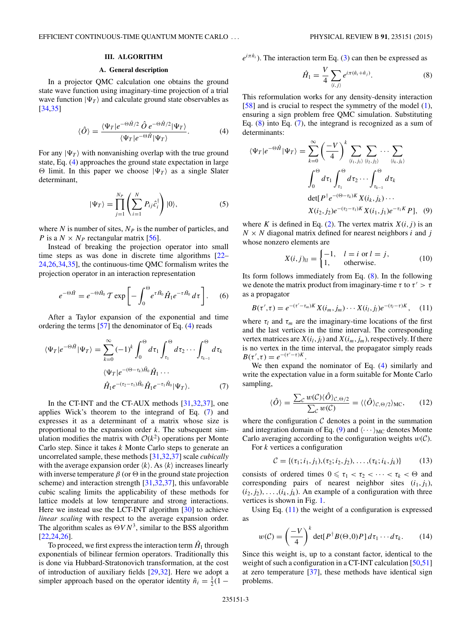#### **III. ALGORITHM**

#### **A. General description**

<span id="page-3-0"></span>In a projector QMC calculation one obtains the ground state wave function using imaginary-time projection of a trial wave function  $|\Psi_T\rangle$  and calculate ground state observables as [\[34,35\]](#page-10-0)

$$
\langle \hat{O} \rangle = \frac{\langle \Psi_T | e^{-\Theta \hat{H}/2} \hat{O} e^{-\Theta \hat{H}/2} | \Psi_T \rangle}{\langle \Psi_T | e^{-\Theta \hat{H}} | \Psi_T \rangle}.
$$
 (4)

For any  $|\Psi_T\rangle$  with nonvanishing overlap with the true ground state, Eq. (4) approaches the ground state expectation in large  $\Theta$  limit. In this paper we choose  $|\Psi_T\rangle$  as a single Slater determinant,

$$
|\Psi_T\rangle = \prod_{j=1}^{N_P} \left( \sum_{i=1}^N P_{ij} \hat{c}_i^\dagger \right) |0\rangle, \tag{5}
$$

where  $N$  is number of sites,  $N_P$  is the number of particles, and *P* is a  $N \times N_P$  rectangular matrix [\[56\]](#page-10-0).

Instead of breaking the projection operator into small time steps as was done in discrete time algorithms [\[22–](#page-10-0) [24,26,34,35\]](#page-10-0), the continuous-time QMC formalism writes the projection operator in an interaction representation

$$
e^{-\Theta \hat{H}} = e^{-\Theta \hat{H}_0} \mathcal{T} \exp\left[-\int_0^{\Theta} e^{\tau \hat{H}_0} \hat{H}_1 e^{-\tau \hat{H}_0} d\tau\right].
$$
 (6)

After a Taylor expansion of the exponential and time ordering the terms [\[57\]](#page-10-0) the denominator of Eq. (4) reads

$$
\langle \Psi_T | e^{-\Theta \hat{H}} | \Psi_T \rangle = \sum_{k=0}^{\infty} (-1)^k \int_0^{\Theta} d\tau_1 \int_{\tau_1}^{\Theta} d\tau_2 \cdots \int_{\tau_{k-1}}^{\Theta} d\tau_k
$$

$$
\langle \Psi_T | e^{-(\Theta - \tau_k)\hat{H}_0} \hat{H}_1 \cdots
$$

$$
\hat{H}_1 e^{-(\tau_2 - \tau_1)\hat{H}_0} \hat{H}_1 e^{-\tau_1 \hat{H}_0} | \Psi_T \rangle.
$$
(7)

In the CT-INT and the CT-AUX methods [\[31,32,37\]](#page-10-0), one applies Wick's theorem to the integrand of Eq. (7) and expresses it as a determinant of a matrix whose size is proportional to the expansion order *k*. The subsequent simulation modifies the matrix with  $O(k^2)$  operations per Monte Carlo step. Since it takes *k* Monte Carlo steps to generate an uncorrelated sample, these methods [\[31,32,37\]](#page-10-0) scale *cubically* with the average expansion order  $\langle k \rangle$ . As  $\langle k \rangle$  increases linearly with inverse temperature  $\beta$  (or  $\Theta$  in the ground state projection scheme) and interaction strength [\[31,32,37\]](#page-10-0), this unfavorable cubic scaling limits the applicability of these methods for lattice models at low temperature and strong interactions. Here we instead use the LCT-INT algorithm [\[30\]](#page-10-0) to achieve *linear scaling* with respect to the average expansion order. The algorithm scales as  $\Theta V N^3$ , similar to the BSS algorithm [\[22,24,26\]](#page-10-0).

To proceed, we first express the interaction term  $\hat{H}_1$  through exponentials of bilinear fermion operators. Traditionally this is done via Hubbard-Stratonovich transformation, at the cost of introduction of auxiliary fields [\[29,32\]](#page-10-0). Here we adopt a simpler approach based on the operator identity  $\hat{n}_i = \frac{1}{2}(\hat{1} - \hat{2})$ 

 $e^{i\pi \hat{n}_i}$ ). The interaction term Eq. [\(3\)](#page-2-0) can then be expressed as

$$
\hat{H}_1 = \frac{V}{4} \sum_{\langle i,j \rangle} e^{i\pi(\hat{n}_i + \hat{n}_j)}.
$$
 (8)

This reformulation works for any density-density interaction [\[58\]](#page-10-0) and is crucial to respect the symmetry of the model [\(1\)](#page-2-0), ensuring a sign problem free QMC simulation. Substituting Eq.  $(8)$  into Eq.  $(7)$ , the integrand is recognized as a sum of determinants:

$$
\langle \Psi_T | e^{-\Theta \hat{H}} | \Psi_T \rangle = \sum_{k=0}^{\infty} \left( \frac{-V}{4} \right)^k \sum_{\langle i_1, j_1 \rangle} \sum_{\langle i_2, j_2 \rangle} \cdots \sum_{\langle i_k, j_k \rangle} \n\int_0^{\Theta} d\tau_1 \int_{\tau_1}^{\Theta} d\tau_2 \cdots \int_{\tau_{k-1}}^{\Theta} d\tau_k \n\det[P^{\dagger} e^{-(\Theta - \tau_k)K} X(i_k, j_k) \cdots \nX(i_2, j_2) e^{-(\tau_2 - \tau_1)K} X(i_1, j_1) e^{-\tau_1 K} P], \quad (9)
$$

where *K* is defined in Eq. [\(2\)](#page-2-0). The vertex matrix  $X(i, j)$  is an  $N \times N$  diagonal matrix defined for nearest neighbors *i* and *j* whose nonzero elements are

$$
X(i,j)_{ll} = \begin{cases} -1, & l = i \text{ or } l = j, \\ 1, & \text{otherwise.} \end{cases}
$$
 (10)

Its form follows immediately from Eq. (8). In the following we denote the matrix product from imaginary-time  $\tau$  to  $\tau' > \tau$ as a propagator

$$
B(\tau', \tau) = e^{-(\tau' - \tau_m)K} X(i_m, j_m) \cdots X(i_l, j_l) e^{-(\tau_l - \tau)K}, \quad (11)
$$

where  $\tau_l$  and  $\tau_m$  are the imaginary-time locations of the first and the last vertices in the time interval. The corresponding vertex matrices are  $X(i_l, j_l)$  and  $X(i_m, j_m)$ , respectively. If there is no vertex in the time interval, the propagator simply reads  $B(\tau', \tau) = e^{-(\tau' - \tau)K}.$ 

We then expand the nominator of Eq. (4) similarly and write the expectation value in a form suitable for Monte Carlo sampling,

$$
\langle \hat{O} \rangle = \frac{\sum_{\mathcal{C}} w(\mathcal{C}) \langle \hat{O} \rangle_{\mathcal{C}, \Theta/2}}{\sum_{\mathcal{C}} w(\mathcal{C})} = \langle \langle \hat{O} \rangle_{\mathcal{C}, \Theta/2} \rangle_{\text{MC}}, \qquad (12)
$$

where the configuration  $C$  denotes a point in the summation and integration domain of Eq. (9) and  $\langle \cdots \rangle_{MC}$  denotes Monte Carlo averaging according to the configuration weights  $w(C)$ .

For *k* vertices a configuration

$$
\mathcal{C} = \{(\tau_1; i_1, j_1), (\tau_2; i_2, j_2), \dots, (\tau_k; i_k, j_k)\}\tag{13}
$$

consists of ordered times  $0 \le \tau_1 < \tau_2 < \cdots < \tau_k < \Theta$  and corresponding pairs of nearest neighbor sites  $(i_1, j_1)$ ,  $(i_2, j_2), \ldots, (i_k, j_k)$ . An example of a configuration with three vertices is shown in Fig. [1.](#page-4-0)

Using Eq.  $(11)$  the weight of a configuration is expressed as

$$
w(C) = \left(\frac{-V}{4}\right)^k \det[P^{\dagger}B(\Theta,0)P] d\tau_1 \cdots d\tau_k.
$$
 (14)

Since this weight is, up to a constant factor, identical to the weight of such a configuration in a CT-INT calculation [\[50,51\]](#page-10-0) at zero temperature [\[37\]](#page-10-0), these methods have identical sign problems.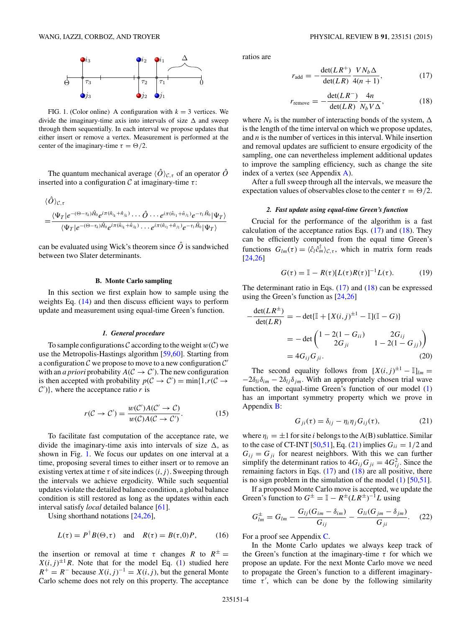<span id="page-4-0"></span>

FIG. 1. (Color online) A configuration with  $k = 3$  vertices. We divide the imaginary-time axis into intervals of size  $\Delta$  and sweep through them sequentially. In each interval we propose updates that either insert or remove a vertex. Measurement is performed at the center of the imaginary-time  $\tau = \Theta/2$ .

The quantum mechanical average  $\langle \hat{O} \rangle_{C,\tau}$  of an operator  $\hat{O}$ inserted into a configuration C at imaginary-time *τ* :

$$
\langle \hat{O} \rangle_{\mathcal{C},\tau} \n= \frac{\langle \Psi_T | e^{-(\Theta - \tau_k) \hat{H}_0} e^{i \pi (\hat{n}_{i_k} + \hat{n}_{j_k})} \cdots \hat{O} \cdots e^{i \pi (\hat{n}_{i_1} + \hat{n}_{j_1})} e^{-\tau_1 \hat{H}_0} |\Psi_T \rangle}{\langle \Psi_T | e^{-(\Theta - \tau_k) \hat{H}_0} e^{i \pi (\hat{n}_{i_k} + \hat{n}_{j_k})} \cdots e^{i \pi (\hat{n}_{i_1} + \hat{n}_{j_1})} e^{-\tau_1 \hat{H}_0} |\Psi_T \rangle}
$$

can be evaluated using Wick's theorem since  $\hat{O}$  is sandwiched between two Slater determinants.

#### **B. Monte Carlo sampling**

In this section we first explain how to sample using the weights Eq. [\(14\)](#page-3-0) and then discuss efficient ways to perform update and measurement using equal-time Green's function.

#### *1. General procedure*

To sample configurations C according to the weight  $w(C)$  we use the Metropolis-Hastings algorithm [\[59,60\]](#page-10-0). Starting from a configuration  $\mathcal C$  we propose to move to a new configuration  $\mathcal C'$ with an *a priori* probability  $A(C \rightarrow C')$ . The new configuration is then accepted with probability  $p(C \to C') = \min\{1, r(C \to C')\}$  $\mathcal{C}'$ )}, where the acceptance ratio *r* is

$$
r(C \to C') = \frac{w(C')A(C' \to C)}{w(C)A(C \to C')}.
$$
 (15)

To facilitate fast computation of the acceptance rate, we divide the imaginary-time axis into intervals of size  $\Delta$ , as shown in Fig. 1. We focus our updates on one interval at a time, proposing several times to either insert or to remove an existing vertex at time  $\tau$  of site indices  $\langle i, j \rangle$ . Sweeping through the intervals we achieve ergodicity. While such sequential updates violate the detailed balance condition, a global balance condition is still restored as long as the updates within each interval satisfy *local* detailed balance [\[61\]](#page-10-0).

Using shorthand notations [\[24,26\]](#page-10-0),

$$
L(\tau) = P^{\dagger} B(\Theta, \tau) \quad \text{and} \quad R(\tau) = B(\tau, 0)P, \tag{16}
$$

the insertion or removal at time  $\tau$  changes R to  $R^{\pm}$  =  $X(i, j)^{\pm 1}R$ . Note that for the model Eq. [\(1\)](#page-2-0) studied here  $R^+ = R^-$  because  $X(i, j)^{-1} = X(i, j)$ , but the general Monte Carlo scheme does not rely on this property. The acceptance ratios are

$$
r_{\text{add}} = -\frac{\det(LR^{+})}{\det(LR)} \frac{VN_b \Delta}{4(n+1)},\tag{17}
$$

$$
r_{\text{remove}} = -\frac{\det(LR^{-})}{\det(LR)} \frac{4n}{N_b V \Delta},\tag{18}
$$

where  $N_b$  is the number of interacting bonds of the system,  $\Delta$ is the length of the time interval on which we propose updates, and *n* is the number of vertices in this interval. While insertion and removal updates are sufficient to ensure ergodicity of the sampling, one can nevertheless implement additional updates to improve the sampling efficiency, such as change the site index of a vertex (see Appendix [A\)](#page-9-0).

After a full sweep through all the intervals, we measure the expectation values of observables close to the center  $\tau = \Theta/2$ .

#### *2. Fast update using equal-time Green's function*

Crucial for the performance of the algorithm is a fast calculation of the acceptance ratios Eqs.  $(17)$  and  $(18)$ . They can be efficiently computed from the equal time Green's functions  $G_{lm}(\tau) = \langle \hat{c}_l \hat{c}_m^{\dagger} \rangle_{\mathcal{C}, \tau}$ , which in matrix form reads [\[24,26\]](#page-10-0)

$$
G(\tau) = \mathbb{I} - R(\tau)[L(\tau)R(\tau)]^{-1}L(\tau). \tag{19}
$$

The determinant ratio in Eqs. (17) and (18) can be expressed using the Green's function as [\[24,26\]](#page-10-0)

$$
-\frac{\det(LR^{\pm})}{\det(LR)} = -\det{\{\mathbb{I} + [X(i,j)^{\pm 1} - \mathbb{I}](\mathbb{I} - G)\}}
$$
  
= -\det{\begin{pmatrix} 1 - 2(1 - G\_{ii}) & 2G\_{ij} \\ 2G\_{ji} & 1 - 2(1 - G\_{jj}) \end{pmatrix}}  
= 4G\_{ij}G\_{ji}. (20)

The second equality follows from  $[X(i, j)^{\pm 1} - \mathbb{I}]_{lm} =$  $-2\delta_{li}\delta_{im} - 2\delta_{lj}\delta_{jm}$ . With an appropriately chosen trial wave function, the equal-time Green's function of our model [\(1\)](#page-2-0) has an important symmetry property which we prove in Appendix [B:](#page-9-0)

$$
G_{ji}(\tau) = \delta_{ij} - \eta_i \eta_j G_{ij}(\tau), \qquad (21)
$$

where  $\eta_i = \pm 1$  for site *i* belongs to the A(B) sublattice. Similar to the case of CT-INT [\[50,51\]](#page-10-0), Eq. (21) implies  $G_{ii} = 1/2$  and  $G_{ij} = G_{ji}$  for nearest neighbors. With this we can further simplify the determinant ratios to  $4G_{ij}G_{ji} = 4G_{ij}^2$ . Since the remaining factors in Eqs.  $(17)$  and  $(18)$  are all positive, there is no sign problem in the simulation of the model [\(1\)](#page-2-0) [\[50,51\]](#page-10-0).

If a proposed Monte Carlo move is accepted, we update the Green's function to  $G^{\pm} = \mathbb{I} - R^{\pm} (LR^{\pm})^{-1}L$  using

$$
G_{lm}^{\pm}=G_{lm}-\frac{G_{lj}(G_{im}-\delta_{im})}{G_{ij}}-\frac{G_{li}(G_{jm}-\delta_{jm})}{G_{ji}}.
$$
 (22)

For a proof see Appendix [C.](#page-9-0)

In the Monte Carlo updates we always keep track of the Green's function at the imaginary-time *τ* for which we propose an update. For the next Monte Carlo move we need to propagate the Green's function to a different imaginarytime  $\tau'$ , which can be done by the following similarity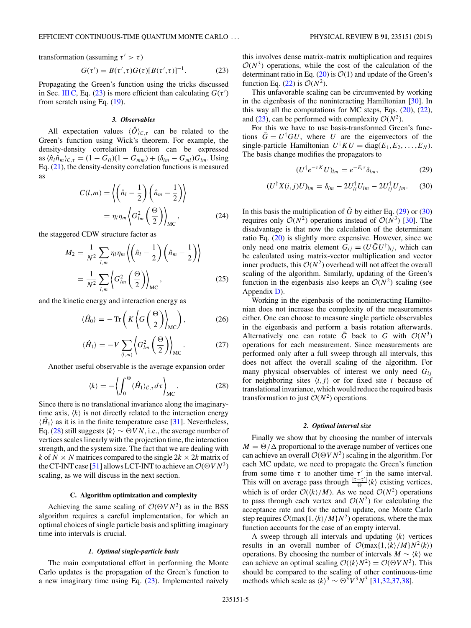<span id="page-5-0"></span>transformation (assuming  $\tau' > \tau$ )

$$
G(\tau') = B(\tau', \tau)G(\tau)[B(\tau', \tau)]^{-1}.
$$
 (23)

Propagating the Green's function using the tricks discussed in Sec. III C, Eq. (23) is more efficient than calculating  $G(\tau')$ from scratch using Eq. [\(19\)](#page-4-0).

#### *3. Observables*

All expectation values  $\langle \hat{O} \rangle_{\mathcal{C},\tau}$  can be related to the Green's function using Wick's theorem. For example, the density-density correlation function can be expressed  $\frac{\partial a}{\partial n}$   $\langle \hat{n}_l \hat{n}_m \rangle_{\mathcal{C},\tau} = (1 - G_{ll})(1 - G_{mm}) + (\delta_{lm} - G_{ml})G_{lm}$ . Using Eq. [\(21\)](#page-4-0), the density-density correlation functions is measured as

$$
C(l,m) = \left\langle \left(\hat{n}_l - \frac{1}{2}\right) \left(\hat{n}_m - \frac{1}{2}\right) \right\rangle
$$

$$
= \eta_l \eta_m \left\langle G_{lm}^2 \left(\frac{\Theta}{2}\right) \right\rangle_{MC}, \qquad (24)
$$

the staggered CDW structure factor as

$$
M_2 = \frac{1}{N^2} \sum_{l,m} \eta_l \eta_m \left\langle \left(\hat{n}_l - \frac{1}{2}\right) \left(\hat{n}_m - \frac{1}{2}\right) \right\rangle
$$
  
= 
$$
\frac{1}{N^2} \sum_{l,m} \left\langle G_{lm}^2 \left(\frac{\Theta}{2}\right) \right\rangle_{MC},
$$
 (25)

and the kinetic energy and interaction energy as

$$
\langle \hat{H}_0 \rangle = -\operatorname{Tr}\left(K \left\langle G \left(\frac{\Theta}{2}\right) \right\rangle_{\text{MC}}\right),\tag{26}
$$

$$
\langle \hat{H}_1 \rangle = -V \sum_{\langle l,m \rangle} \left\langle G_{lm}^2 \left( \frac{\Theta}{2} \right) \right\rangle_{\text{MC}} . \tag{27}
$$

Another useful observable is the average expansion order

$$
\langle k \rangle = -\left\langle \int_0^\Theta \langle \hat{H}_1 \rangle_{\mathcal{C},\tau} d\tau \right\rangle_{\rm MC}.
$$
 (28)

Since there is no translational invariance along the imaginarytime axis,  $\langle k \rangle$  is not directly related to the interaction energy  $\langle \hat{H}_1 \rangle$  as it is in the finite temperature case [\[31\]](#page-10-0). Nevertheless, Eq. (28) still suggests  $\langle k \rangle \sim \Theta V N$ , i.e., the average number of vertices scales linearly with the projection time, the interaction strength, and the system size. The fact that we are dealing with *k* of *N*  $\times$  *N* matrices compared to the single 2*k*  $\times$  2*k* matrix of the CT-INT case [\[51\]](#page-10-0) allows LCT-INT to achieve an  $O(\Theta V N^3)$ scaling, as we will discuss in the next section.

#### **C. Algorithm optimization and complexity**

Achieving the same scaling of  $O(OVN^3)$  as in the BSS algorithm requires a careful implementation, for which an optimal choices of single particle basis and splitting imaginary time into intervals is crucial.

#### *1. Optimal single-particle basis*

The main computational effort in performing the Monte Carlo updates is the propagation of the Green's function to a new imaginary time using Eq.  $(23)$ . Implemented naively this involves dense matrix-matrix multiplication and requires  $O(N^3)$  operations, while the cost of the calculation of the determinant ratio in Eq. [\(20\)](#page-4-0) is  $\mathcal{O}(1)$  and update of the Green's function Eq.  $(22)$  is  $\mathcal{O}(N^2)$ .

This unfavorable scaling can be circumvented by working in the eigenbasis of the noninteracting Hamiltonian [\[30\]](#page-10-0). In this way all the computations for MC steps, Eqs.  $(20)$ ,  $(22)$ , and (23), can be performed with complexity  $\mathcal{O}(N^2)$ .

For this we have to use basis-transformed Green's functions  $\tilde{G} = U^{\dagger} G U$ , where *U* are the eigenvectors of the single-particle Hamiltonian  $U^{\dagger} K U = \text{diag}(E_1, E_2, \dots, E_N)$ . The basis change modifies the propagators to

$$
(U^{\dagger}e^{-\tau K}U)_{lm} = e^{-E_l \tau} \delta_{lm}, \qquad (29)
$$

$$
(U^{\dagger} X(i,j) U)_{lm} = \delta_{lm} - 2U^{\dagger}_{li} U_{im} - 2U^{\dagger}_{lj} U_{jm}.
$$
 (30)

In this basis the multiplication of  $\tilde{G}$  by either Eq. (29) or (30) requires only  $\mathcal{O}(N^2)$  operations instead of  $\mathcal{O}(N^3)$  [\[30\]](#page-10-0). The disadvantage is that now the calculation of the determinant ratio Eq. [\(20\)](#page-4-0) is slightly more expensive. However, since we only need one matrix element  $\hat{G}_{ij} = (U \tilde{G} U^{\dagger})_{ij}$ , which can be calculated using matrix-vector multiplication and vector inner products, this  $O(N^2)$  overhead will not affect the overall scaling of the algorithm. Similarly, updating of the Green's function in the eigenbasis also keeps an  $O(N^2)$  scaling (see Appendix [D\)](#page-9-0).

Working in the eigenbasis of the noninteracting Hamiltonian does not increase the complexity of the measurements either. One can choose to measure single particle observables in the eigenbasis and perform a basis rotation afterwards. Alternatively one can rotate  $\tilde{G}$  back to  $G$  with  $O(N^3)$ operations for each measurement. Since measurements are performed only after a full sweep through all intervals, this does not affect the overall scaling of the algorithm. For many physical observables of interest we only need *Gij* for neighboring sites  $\langle i, j \rangle$  or for fixed site *i* because of translational invariance, which would reduce the required basis transformation to just  $O(N^2)$  operations.

#### *2. Optimal interval size*

Finally we show that by choosing the number of intervals  $M = \Theta/\Delta$  proportional to the average number of vertices one can achieve an overall  $O(OVN^3)$  scaling in the algorithm. For each MC update, we need to propagate the Green's function from some time  $\tau$  to another time  $\tau'$  in the same interval. This will on average pass through  $\frac{|\tau-\tau'|}{\Theta}$   $\langle k \rangle$  existing vertices, which is of order  $O(\langle k \rangle/M)$ . As we need  $O(N^2)$  operations to pass through each vertex and  $O(N^2)$  for calculating the acceptance rate and for the actual update, one Monte Carlo step requires  $\mathcal{O}(\max\{1, \langle k \rangle/M\}N^2)$  operations, where the max function accounts for the case of an empty interval.

A sweep through all intervals and updating  $\langle k \rangle$  vertices results in an overall number of  $\mathcal{O}(\max\{1, \langle k \rangle / M\}N^2 \langle k \rangle)$ operations. By choosing the number of intervals  $M \sim \langle k \rangle$  we can achieve an optimal scaling  $\mathcal{O}(\langle k \rangle N^2) = \mathcal{O}(\Theta V N^3)$ . This should be compared to the scaling of other continuous-time methods which scale as  $\langle k \rangle^3$  ∼  $\Theta^3 V^3 N^3$  [\[31,32,37,38\]](#page-10-0).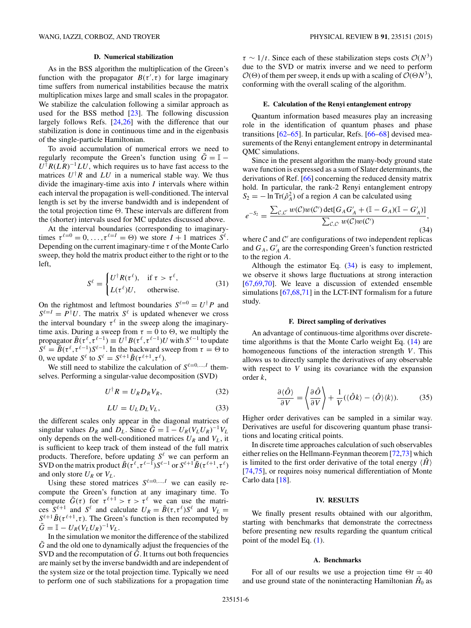#### **D. Numerical stabilization**

<span id="page-6-0"></span>As in the BSS algorithm the multiplication of the Green's function with the propagator  $B(\tau', \tau)$  for large imaginary time suffers from numerical instabilities because the matrix multiplication mixes large and small scales in the propagator. We stabilize the calculation following a similar approach as used for the BSS method [\[23\]](#page-10-0). The following discussion largely follows Refs. [\[24,26\]](#page-10-0) with the difference that our stabilization is done in continuous time and in the eigenbasis of the single-particle Hamiltonian.

To avoid accumulation of numerical errors we need to regularly recompute the Green's function using  $\tilde{G} = \mathbb{I}$  –  $U^{\dagger}R(LR)^{-1}LU$ , which requires us to have fast access to the matrices  $U^{\dagger}R$  and  $LU$  in a numerical stable way. We thus divide the imaginary-time axis into *I* intervals where within each interval the propagation is well-conditioned. The interval length is set by the inverse bandwidth and is independent of the total projection time  $\Theta$ . These intervals are different from the (shorter) intervals used for MC updates discussed above.

At the interval boundaries (corresponding to imaginarytimes  $\tau^{\ell=0} = 0, \ldots, \tau^{\ell=I} = \Theta$ ) we store  $I + 1$  matrices  $S^{\ell}$ . Depending on the current imaginary-time *τ* of the Monte Carlo sweep, they hold the matrix product either to the right or to the left,

$$
S^{\ell} = \begin{cases} U^{\dagger} R(\tau^{\ell}), & \text{if } \tau > \tau^{\ell}, \\ L(\tau^{\ell}) U, & \text{otherwise.} \end{cases}
$$
(31)

On the rightmost and leftmost boundaries  $S^{\ell=0} = U^{\dagger} P$  and  $S^{\ell=I} = P^{\dagger} U$ . The matrix  $S^{\ell}$  is updated whenever we cross the interval boundary  $\tau^{\ell}$  in the sweep along the imaginarytime axis. During a sweep from  $\tau = 0$  to  $\Theta$ , we multiply the propagator  $\tilde{B}(\tau^{\ell}, \tau^{\ell-1}) \equiv U^{\dagger} B(\tau^{\ell}, \tau^{\ell-1}) U$  with  $S^{\ell-1}$  to update  $S^{\ell} = \tilde{B}(\tau^{\ell}, \tau^{\ell-1}) S^{\ell-1}$ . In the backward sweep from  $\tau = \Theta$  to 0, we update  $S^{\ell}$  to  $S^{\ell} = S^{\ell+1} \tilde{B}(\tau^{\ell+1}, \tau^{\ell})$ .

We still need to stabilize the calculation of  $S^{\ell=0,\dots,I}$  themselves. Performing a singular-value decomposition (SVD)

$$
U^{\dagger}R = U_R D_R V_R, \qquad (32)
$$

$$
LU = U_L D_L V_L, \t\t(33)
$$

the different scales only appear in the diagonal matrices of singular values  $D_R$  and  $D_L$ . Since  $\tilde{G} = \mathbb{I} - U_R(V_L U_R)^{-1}V_L$ only depends on the well-conditioned matrices  $U_R$  and  $V_L$ , it is sufficient to keep track of them instead of the full matrix products. Therefore, before updating  $S^{\ell}$  we can perform an SVD on the matrix product  $\tilde{B}(\tau^{\ell}, \tau^{\ell-1})S^{\ell-1}$  or  $S^{\ell+1}\tilde{B}(\tau^{\ell+1}, \tau^{\ell})$ and only store  $U_R$  or  $V_L$ .

Using these stored matrices  $S^{\ell=0,\dots,I}$  we can easily recompute the Green's function at any imaginary time. To compute  $\tilde{G}(\tau)$  for  $\tau^{\ell+1} > \tau > \tau^{\ell}$  we can use the matrices  $S^{\ell+1}$  and  $S^{\ell}$  and calculate  $U_R = \tilde{B}(\tau, \tau^{\ell})S^{\ell}$  and  $V_L =$  $S^{\ell+1}$   $\tilde{B}(\tau^{\ell+1}, \tau)$ . The Green's function is then recomputed by  $\tilde{G} = \mathbb{I} - U_R (V_L U_R)^{-1} V_L.$ 

In the simulation we monitor the difference of the stabilized  $\tilde{G}$  and the old one to dynamically adjust the frequencies of the SVD and the recomputation of  $\tilde{G}$ . It turns out both frequencies are mainly set by the inverse bandwidth and are independent of the system size or the total projection time. Typically we need to perform one of such stabilizations for a propagation time  $\tau \sim 1/t$ . Since each of these stabilization steps costs  $\mathcal{O}(N^3)$ due to the SVD or matrix inverse and we need to perform  $\mathcal{O}(\Theta)$  of them per sweep, it ends up with a scaling of  $\mathcal{O}(\Theta N^3)$ , conforming with the overall scaling of the algorithm.

#### **E. Calculation of the Renyi entanglement entropy**

Quantum information based measures play an increasing role in the identification of quantum phases and phase transitions [\[62–65\]](#page-10-0). In particular, Refs. [\[66](#page-10-0)[–68\]](#page-11-0) devised measurements of the Renyi entanglement entropy in determinantal QMC simulations.

Since in the present algorithm the many-body ground state wave function is expressed as a sum of Slater determinants, the derivations of Ref. [\[66\]](#page-10-0) concerning the reduced density matrix hold. In particular, the rank-2 Renyi entanglement entropy  $S_2 = -\ln \text{Tr}(\hat{\rho}_A^2)$  of a region *A* can be calculated using

$$
e^{-S_2} = \frac{\sum_{\mathcal{C}, \mathcal{C}'} w(\mathcal{C}) w(\mathcal{C}') \det[G_A G'_A + (\mathbb{I} - G_A)(\mathbb{I} - G'_A)]}{\sum_{\mathcal{C}, \mathcal{C}'} w(\mathcal{C}) w(\mathcal{C}')} ,
$$
\n(34)

where  $C$  and  $C'$  are configurations of two independent replicas and  $G_A$ ,  $G'_A$  are the corresponding Green's function restricted to the region *A*.

Although the estimator Eq. (34) is easy to implement, we observe it shows large fluctuations at strong interaction [\[67](#page-10-0)[,69,70\]](#page-11-0). We leave a discussion of extended ensemble simulations [\[67,](#page-10-0)[68,71\]](#page-11-0) in the LCT-INT formalism for a future study.

#### **F. Direct sampling of derivatives**

An advantage of continuous-time algorithms over discretetime algorithms is that the Monte Carlo weight Eq. [\(14\)](#page-3-0) are homogeneous functions of the interaction strength *V*. This allows us to directly sample the derivatives of any observable with respect to *V* using its covariance with the expansion order *k*,

$$
\frac{\partial \langle \hat{O} \rangle}{\partial V} = \left\langle \frac{\partial \hat{O}}{\partial V} \right\rangle + \frac{1}{V} (\langle \hat{O}k \rangle - \langle \hat{O} \rangle \langle k \rangle). \tag{35}
$$

Higher order derivatives can be sampled in a similar way. Derivatives are useful for discovering quantum phase transitions and locating critical points.

In discrete time approaches calculation of such observables either relies on the Hellmann-Feynman theorem [\[72,73\]](#page-11-0) which is limited to the first order derivative of the total energy  $\langle \hat{H} \rangle$ [\[74,75\]](#page-11-0), or requires noisy numerical differentiation of Monte Carlo data [\[18\]](#page-10-0).

#### **IV. RESULTS**

We finally present results obtained with our algorithm, starting with benchmarks that demonstrate the correctness before presenting new results regarding the quantum critical point of the model Eq. [\(1\)](#page-2-0).

#### **A. Benchmarks**

For all of our results we use a projection time  $\Theta t = 40$ and use ground state of the noninteracting Hamiltonian  $\hat{H}_0$  as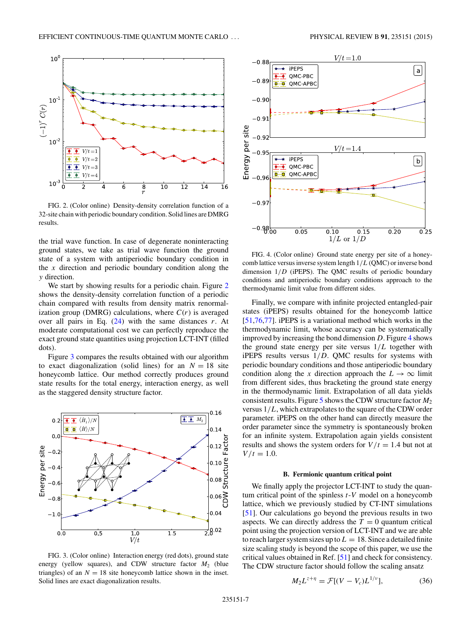<span id="page-7-0"></span>

FIG. 2. (Color online) Density-density correlation function of a 32-site chain with periodic boundary condition. Solid lines are DMRG results.

the trial wave function. In case of degenerate noninteracting ground states, we take as trial wave function the ground state of a system with antiperiodic boundary condition in the *x* direction and periodic boundary condition along the *y* direction.

We start by showing results for a periodic chain. Figure 2 shows the density-density correlation function of a periodic chain compared with results from density matrix renormalization group (DMRG) calculations, where  $C(r)$  is averaged over all pairs in Eq.  $(24)$  with the same distances *r*. At moderate computational cost we can perfectly reproduce the exact ground state quantities using projection LCT-INT (filled dots).

Figure 3 compares the results obtained with our algorithm to exact diagonalization (solid lines) for an  $N = 18$  site honeycomb lattice. Our method correctly produces ground state results for the total energy, interaction energy, as well as the staggered density structure factor.



FIG. 3. (Color online) Interaction energy (red dots), ground state energy (yellow squares), and CDW structure factor  $M_2$  (blue triangles) of an  $N = 18$  site honeycomb lattice shown in the inset. Solid lines are exact diagonalization results.



FIG. 4. (Color online) Ground state energy per site of a honeycomb lattice versus inverse system length 1*/L* (QMC) or inverse bond dimension 1*/D* (iPEPS). The QMC results of periodic boundary conditions and antiperiodic boundary conditions approach to the thermodynamic limit value from different sides.

Finally, we compare with infinite projected entangled-pair states (iPEPS) results obtained for the honeycomb lattice [\[51](#page-10-0)[,76,77\]](#page-11-0). iPEPS is a variational method which works in the thermodynamic limit, whose accuracy can be systematically improved by increasing the bond dimension *D*. Figure 4 shows the ground state energy per site versus 1*/L* together with iPEPS results versus 1*/D*. QMC results for systems with periodic boundary conditions and those antiperiodic boundary condition along the *x* direction approach the  $L \rightarrow \infty$  limit from different sides, thus bracketing the ground state energy in the thermodynamic limit. Extrapolation of all data yields consistent results. Figure [5](#page-8-0) shows the CDW structure factor *M*<sup>2</sup> versus 1*/L*, which extrapolates to the square of the CDW order parameter. iPEPS on the other hand can directly measure the order parameter since the symmetry is spontaneously broken for an infinite system. Extrapolation again yields consistent results and shows the system orders for  $V/t = 1.4$  but not at  $V/t = 1.0$ .

#### **B. Fermionic quantum critical point**

We finally apply the projector LCT-INT to study the quantum critical point of the spinless *t*-*V* model on a honeycomb lattice, which we previously studied by CT-INT simulations [\[51\]](#page-10-0). Our calculations go beyond the previous results in two aspects. We can directly address the  $T = 0$  quantum critical point using the projection version of LCT-INT and we are able to reach larger system sizes up to  $L = 18$ . Since a detailed finite size scaling study is beyond the scope of this paper, we use the critical values obtained in Ref. [\[51\]](#page-10-0) and check for consistency. The CDW structure factor should follow the scaling ansatz

$$
M_2 L^{z+\eta} = \mathcal{F}[(V - V_c)L^{1/\nu}], \tag{36}
$$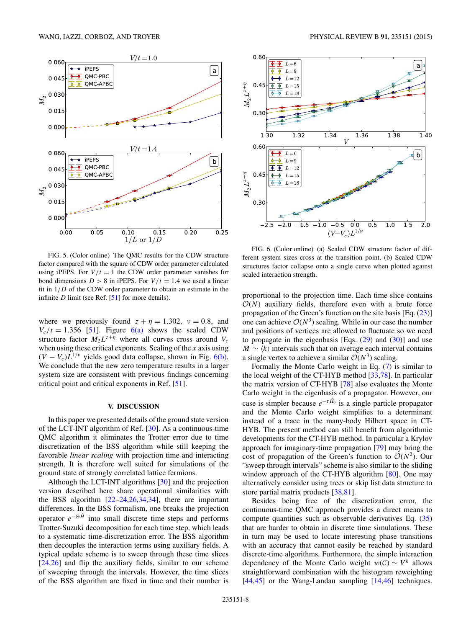<span id="page-8-0"></span>

FIG. 5. (Color online) The QMC results for the CDW structure factor compared with the square of CDW order parameter calculated using iPEPS. For  $V/t = 1$  the CDW order parameter vanishes for bond dimensions  $D > 8$  in iPEPS. For  $V/t = 1.4$  we used a linear fit in 1*/D* of the CDW order parameter to obtain an estimate in the infinite *D* limit (see Ref. [\[51\]](#page-10-0) for more details).

where we previously found  $z + \eta = 1.302$ ,  $v = 0.8$ , and  $V_c/t = 1.356$  [\[51\]](#page-10-0). Figure 6(a) shows the scaled CDW structure factor  $M_2L^{z+\eta}$  where all curves cross around  $V_c$ when using these critical exponents. Scaling of the *x* axis using  $(V - V_c)L^{1/\nu}$  yields good data collapse, shown in Fig. 6(b). We conclude that the new zero temperature results in a larger system size are consistent with previous findings concerning critical point and critical exponents in Ref. [\[51\]](#page-10-0).

#### **V. DISCUSSION**

In this paper we presented details of the ground state version of the LCT-INT algorithm of Ref. [\[30\]](#page-10-0). As a continuous-time QMC algorithm it eliminates the Trotter error due to time discretization of the BSS algorithm while still keeping the favorable *linear scaling* with projection time and interacting strength. It is therefore well suited for simulations of the ground state of strongly correlated lattice fermions.

Although the LCT-INT algorithms [\[30\]](#page-10-0) and the projection version described here share operational similarities with the BSS algorithm [\[22–24,26,34,34\]](#page-10-0), there are important differences. In the BSS formalism, one breaks the projection operator *e*<sup>−</sup>*H*<sup>ˆ</sup> into small discrete time steps and performs Trotter-Suzuki decomposition for each time step, which leads to a systematic time-discretization error. The BSS algorithm then decouples the interaction terms using auxiliary fields. A typical update scheme is to sweep through these time slices [\[24,26\]](#page-10-0) and flip the auxiliary fields, similar to our scheme of sweeping through the intervals. However, the time slices of the BSS algorithm are fixed in time and their number is



FIG. 6. (Color online) (a) Scaled CDW structure factor of different system sizes cross at the transition point. (b) Scaled CDW structures factor collapse onto a single curve when plotted against scaled interaction strength.

proportional to the projection time. Each time slice contains  $O(N)$  auxiliary fields, therefore even with a brute force propagation of the Green's function on the site basis [Eq. [\(23\)](#page-5-0)] one can achieve  $O(N^3)$  scaling. While in our case the number and positions of vertices are allowed to fluctuate so we need to propagate in the eigenbasis [Eqs.  $(29)$  and  $(30)$ ] and use  $M \sim \langle k \rangle$  intervals such that on average each interval contains a single vertex to achieve a similar  $O(N^3)$  scaling.

Formally the Monte Carlo weight in Eq. [\(7\)](#page-3-0) is similar to the local weight of the CT-HYB method [\[33,](#page-10-0)[78\]](#page-11-0). In particular the matrix version of CT-HYB [\[78\]](#page-11-0) also evaluates the Monte Carlo weight in the eigenbasis of a propagator. However, our case is simpler because  $e^{-\tau \hat{H}_0}$  is a single particle propagator and the Monte Carlo weight simplifies to a determinant instead of a trace in the many-body Hilbert space in CT-HYB. The present method can still benefit from algorithmic developments for the CT-HYB method. In particular a Krylov approach for imaginary-time propagation [\[79\]](#page-11-0) may bring the cost of propagation of the Green's function to  $O(N^2)$ . Our "sweep through intervals" scheme is also similar to the sliding window approach of the CT-HYB algorithm [\[80\]](#page-11-0). One may alternatively consider using trees or skip list data structure to store partial matrix products [\[38](#page-10-0)[,81\]](#page-11-0).

Besides being free of the discretization error, the continuous-time QMC approach provides a direct means to compute quantities such as observable derivatives Eq. [\(35\)](#page-6-0) that are harder to obtain in discrete time simulations. These in turn may be used to locate interesting phase transitions with an accuracy that cannot easily be reached by standard discrete-time algorithms. Furthermore, the simple interaction dependency of the Monte Carlo weight  $w(C) \sim V^k$  allows straightforward combination with the histogram reweighting [\[44,45\]](#page-10-0) or the Wang-Landau sampling [\[14,46\]](#page-10-0) techniques.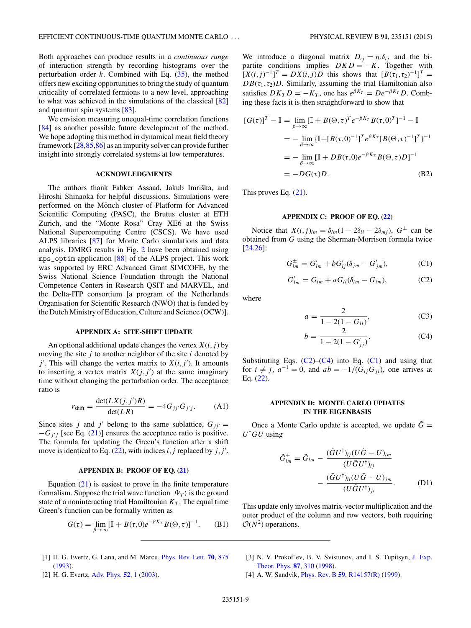<span id="page-9-0"></span>Both approaches can produce results in a *continuous range* of interaction strength by recording histograms over the perturbation order *k*. Combined with Eq. [\(35\)](#page-6-0), the method offers new exciting opportunities to bring the study of quantum criticality of correlated fermions to a new level, approaching to what was achieved in the simulations of the classical [\[82\]](#page-11-0) and quantum spin systems [\[83\]](#page-11-0).

We envision measuring unequal-time correlation functions [\[84\]](#page-11-0) as another possible future development of the method. We hope adopting this method in dynamical mean field theory framework [\[28,](#page-10-0)[85,86\]](#page-11-0) as an impurity solver can provide further insight into strongly correlated systems at low temperatures.

#### **ACKNOWLEDGMENTS**

The authors thank Fahker Assaad, Jakub Imriška, and Hiroshi Shinaoka for helpful discussions. Simulations were performed on the Mönch cluster of Platform for Advanced Scientific Computing (PASC), the Brutus cluster at ETH Zurich, and the "Monte Rosa" Cray XE6 at the Swiss National Supercomputing Centre (CSCS). We have used ALPS libraries [\[87\]](#page-11-0) for Monte Carlo simulations and data analysis. DMRG results in Fig. [2](#page-7-0) have been obtained using mps\_optim application [\[88\]](#page-11-0) of the ALPS project. This work was supported by ERC Advanced Grant SIMCOFE, by the Swiss National Science Foundation through the National Competence Centers in Research QSIT and MARVEL, and the Delta-ITP consortium [a program of the Netherlands Organisation for Scientific Research (NWO) that is funded by the Dutch Ministry of Education, Culture and Science (OCW)].

#### **APPENDIX A: SITE-SHIFT UPDATE**

An optional additional update changes the vertex  $X(i, j)$  by moving the site *j* to another neighbor of the site *i* denoted by  $j'$ . This will change the vertex matrix to  $X(i, j')$ . It amounts to inserting a vertex matrix  $X(j, j')$  at the same imaginary time without changing the perturbation order. The acceptance ratio is

$$
r_{\text{shift}} = \frac{\det(LX(j,j')R)}{\det(LR)} = -4G_{jj'}G_{j'j}.
$$
 (A1)

Since sites *j* and *j'* belong to the same sublattice,  $G_{ji'} =$  $-G_{j'j}$  [see Eq. [\(21\)](#page-4-0)] ensures the acceptance ratio is positive. The formula for updating the Green's function after a shift move is identical to Eq.  $(22)$ , with indices *i*, *j* replaced by *j*, *j'*.

#### **APPENDIX B: PROOF OF EQ. [\(21\)](#page-4-0)**

Equation  $(21)$  is easiest to prove in the finite temperature formalism. Suppose the trial wave function  $|\Psi_T\rangle$  is the ground state of a noninteracting trial Hamiltonian  $K<sub>T</sub>$ . The equal time Green's function can be formally written as

$$
G(\tau) = \lim_{\beta \to \infty} [\mathbb{I} + B(\tau, 0)e^{-\beta K_T} B(\Theta, \tau)]^{-1}.
$$
 (B1)

- [1] H. G. Evertz, G. Lana, and M. Marcu, [Phys. Rev. Lett.](http://dx.doi.org/10.1103/PhysRevLett.70.875) **[70](http://dx.doi.org/10.1103/PhysRevLett.70.875)**, [875](http://dx.doi.org/10.1103/PhysRevLett.70.875) [\(1993\)](http://dx.doi.org/10.1103/PhysRevLett.70.875).
- [2] H. G. Evertz, [Adv. Phys.](http://dx.doi.org/10.1080/0001873021000049195) **[52](http://dx.doi.org/10.1080/0001873021000049195)**, [1](http://dx.doi.org/10.1080/0001873021000049195) [\(2003\)](http://dx.doi.org/10.1080/0001873021000049195).

We introduce a diagonal matrix  $D_{ij} = \eta_i \delta_{ij}$  and the bipartite conditions implies  $DKD = -K$ . Together with  $[X(i, j)^{-1}]^T = DX(i, j)D$  this shows that  $[B(\tau_1, \tau_2)^{-1}]^T =$  $DB(\tau_1, \tau_2)D$ . Similarly, assuming the trial Hamiltonian also satisfies  $DK_T D = -K_T$ , one has  $e^{\beta K_T} = De^{-\beta K_T} D$ . Combing these facts it is then straightforward to show that

$$
[G(\tau)]^T - \mathbb{I} = \lim_{\beta \to \infty} [\mathbb{I} + B(\Theta, \tau)^T e^{-\beta K_T} B(\tau, 0)^T]^{-1} - \mathbb{I}
$$
  
=  $-\lim_{\beta \to \infty} {\{\mathbb{I} + [B(\tau, 0)^{-1}]^T e^{\beta K_T} [B(\Theta, \tau)^{-1}]^T \}^{-1}}$   
=  $-\lim_{\beta \to \infty} [\mathbb{I} + DB(\tau, 0) e^{-\beta K_T} B(\Theta, \tau) D]^{-1}$   
=  $-DG(\tau)D.$  (B2)

This proves Eq. [\(21\)](#page-4-0).

#### **APPENDIX C: PROOF OF EQ. [\(22\)](#page-4-0)**

Notice that  $X(i, j)_{lm} = \delta_{lm}(1 - 2\delta_{li} - 2\delta_{mj})$ ,  $G^{\pm}$  can be obtained from *G* using the Sherman-Morrison formula twice [\[24,26\]](#page-10-0):

$$
G_{lm}^{\pm} = G'_{lm} + bG'_{lj}(\delta_{jm} - G'_{jm}), \tag{C1}
$$

$$
G'_{lm} = G_{lm} + aG_{li}(\delta_{im} - G_{im}), \qquad (C2)
$$

where

$$
a = \frac{2}{1 - 2(1 - G_{ii})},
$$
 (C3)

$$
b = \frac{2}{1 - 2(1 - G'_{jj})}.
$$
 (C4)

Substituting Eqs.  $(C2)$ – $(C4)$  into Eq.  $(C1)$  and using that for  $i \neq j$ ,  $a^{-1} = 0$ , and  $ab = -1/(G_{ij}G_{ji})$ , one arrives at Eq. [\(22\)](#page-4-0).

#### **APPENDIX D: MONTE CARLO UPDATES IN THE EIGENBASIS**

Once a Monte Carlo update is accepted, we update  $\tilde{G}$  = *U*† *GU* using

$$
\tilde{G}_{lm}^{\pm} = \tilde{G}_{lm} - \frac{(\tilde{G}U^{\dagger})_{lj}(U\tilde{G} - U)_{im}}{(U\tilde{G}U^{\dagger})_{ij}} - \frac{(\tilde{G}U^{\dagger})_{li}(U\tilde{G} - U)_{jm}}{(U\tilde{G}U^{\dagger})_{ji}}.
$$
 (D1)

This update only involves matrix-vector multiplication and the outer product of the column and row vectors, both requiring  $\mathcal{O}(N^2)$  operations.

- [3] [N. V. Prokof'ev, B. V. Svistunov, and I. S. Tupitsyn,](http://dx.doi.org/10.1134/1.558661) J. Exp. Theor. Phys. **[87](http://dx.doi.org/10.1134/1.558661)**, [310](http://dx.doi.org/10.1134/1.558661) [\(1998\)](http://dx.doi.org/10.1134/1.558661).
- [4] A. W. Sandvik, [Phys. Rev. B](http://dx.doi.org/10.1103/PhysRevB.59.R14157) **[59](http://dx.doi.org/10.1103/PhysRevB.59.R14157)**, [R14157\(R\)](http://dx.doi.org/10.1103/PhysRevB.59.R14157) [\(1999\)](http://dx.doi.org/10.1103/PhysRevB.59.R14157).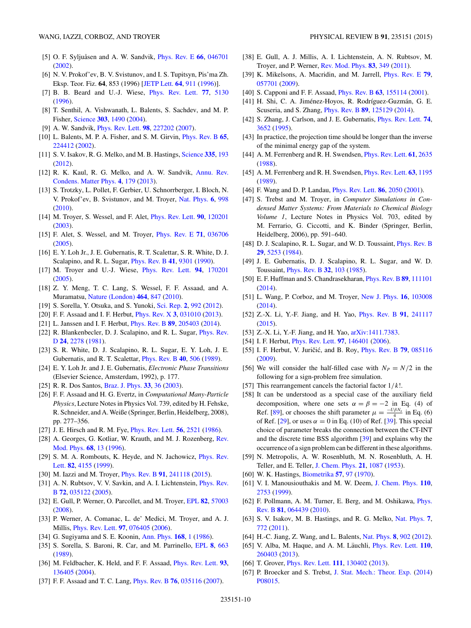- <span id="page-10-0"></span>[5] O. F. Syljuåsen and A. W. Sandvik, *[Phys. Rev. E](http://dx.doi.org/10.1103/PhysRevE.66.046701)* [66](http://dx.doi.org/10.1103/PhysRevE.66.046701), [046701](http://dx.doi.org/10.1103/PhysRevE.66.046701) [\(2002\)](http://dx.doi.org/10.1103/PhysRevE.66.046701).
- [6] N. V. Prokof'ev, B. V. Svistunov, and I. S. Tupitsyn, Pis'ma Zh. Eksp. Teor. Fiz. **[64](http://dx.doi.org/10.1134/1.567243)**, 853 [\(1996\)](http://dx.doi.org/10.1134/1.567243) [JETP Lett. **64**, [911](http://dx.doi.org/10.1134/1.567243) (1996)].
- [7] B. B. Beard and U.-J. Wiese, [Phys. Rev. Lett.](http://dx.doi.org/10.1103/PhysRevLett.77.5130) **[77](http://dx.doi.org/10.1103/PhysRevLett.77.5130)**, [5130](http://dx.doi.org/10.1103/PhysRevLett.77.5130) [\(1996\)](http://dx.doi.org/10.1103/PhysRevLett.77.5130).
- [8] T. Senthil, A. Vishwanath, L. Balents, S. Sachdev, and M. P. Fisher, [Science](http://dx.doi.org/10.1126/science.1091806) **[303](http://dx.doi.org/10.1126/science.1091806)**, [1490](http://dx.doi.org/10.1126/science.1091806) [\(2004\)](http://dx.doi.org/10.1126/science.1091806).
- [9] A. W. Sandvik, [Phys. Rev. Lett.](http://dx.doi.org/10.1103/PhysRevLett.98.227202) **[98](http://dx.doi.org/10.1103/PhysRevLett.98.227202)**, [227202](http://dx.doi.org/10.1103/PhysRevLett.98.227202) [\(2007\)](http://dx.doi.org/10.1103/PhysRevLett.98.227202).
- [10] L. Balents, M. P. A. Fisher, and S. M. Girvin, [Phys. Rev. B](http://dx.doi.org/10.1103/PhysRevB.65.224412) **[65](http://dx.doi.org/10.1103/PhysRevB.65.224412)**, [224412](http://dx.doi.org/10.1103/PhysRevB.65.224412) [\(2002\)](http://dx.doi.org/10.1103/PhysRevB.65.224412).
- [11] S. V. Isakov, R. G. Melko, and M. B. Hastings, [Science](http://dx.doi.org/10.1126/science.1212207) **[335](http://dx.doi.org/10.1126/science.1212207)**, [193](http://dx.doi.org/10.1126/science.1212207) [\(2012\)](http://dx.doi.org/10.1126/science.1212207).
- [12] [R. K. Kaul, R. G. Melko, and A. W. Sandvik,](http://dx.doi.org/10.1146/annurev-conmatphys-030212-184215) Annu. Rev. Condens. Matter Phys. **[4](http://dx.doi.org/10.1146/annurev-conmatphys-030212-184215)**, [179](http://dx.doi.org/10.1146/annurev-conmatphys-030212-184215) [\(2013\)](http://dx.doi.org/10.1146/annurev-conmatphys-030212-184215).
- [13] S. Trotzky, L. Pollet, F. Gerbier, U. Schnorrberger, I. Bloch, N. V. Prokof'ev, B. Svistunov, and M. Troyer, [Nat. Phys.](http://dx.doi.org/10.1038/nphys1799) **[6](http://dx.doi.org/10.1038/nphys1799)**, [998](http://dx.doi.org/10.1038/nphys1799) [\(2010\)](http://dx.doi.org/10.1038/nphys1799).
- [14] M. Troyer, S. Wessel, and F. Alet, [Phys. Rev. Lett.](http://dx.doi.org/10.1103/PhysRevLett.90.120201) **[90](http://dx.doi.org/10.1103/PhysRevLett.90.120201)**, [120201](http://dx.doi.org/10.1103/PhysRevLett.90.120201) [\(2003\)](http://dx.doi.org/10.1103/PhysRevLett.90.120201).
- [15] F. Alet, S. Wessel, and M. Troyer, [Phys. Rev. E](http://dx.doi.org/10.1103/PhysRevE.71.036706) **[71](http://dx.doi.org/10.1103/PhysRevE.71.036706)**, [036706](http://dx.doi.org/10.1103/PhysRevE.71.036706) [\(2005\)](http://dx.doi.org/10.1103/PhysRevE.71.036706).
- [16] E. Y. Loh Jr., J. E. Gubernatis, R. T. Scalettar, S. R. White, D. J. Scalapino, and R. L. Sugar, [Phys. Rev. B](http://dx.doi.org/10.1103/PhysRevB.41.9301) **[41](http://dx.doi.org/10.1103/PhysRevB.41.9301)**, [9301](http://dx.doi.org/10.1103/PhysRevB.41.9301) [\(1990\)](http://dx.doi.org/10.1103/PhysRevB.41.9301).
- [17] M. Troyer and U.-J. Wiese, [Phys. Rev. Lett.](http://dx.doi.org/10.1103/PhysRevLett.94.170201) **[94](http://dx.doi.org/10.1103/PhysRevLett.94.170201)**, [170201](http://dx.doi.org/10.1103/PhysRevLett.94.170201) [\(2005\)](http://dx.doi.org/10.1103/PhysRevLett.94.170201).
- [18] Z. Y. Meng, T. C. Lang, S. Wessel, F. F. Assaad, and A. Muramatsu, [Nature \(London\)](http://dx.doi.org/10.1038/nature08942) **[464](http://dx.doi.org/10.1038/nature08942)**, [847](http://dx.doi.org/10.1038/nature08942) [\(2010\)](http://dx.doi.org/10.1038/nature08942).
- [19] S. Sorella, Y. Otsuka, and S. Yunoki, [Sci. Rep.](http://dx.doi.org/10.1038/srep00992) **[2](http://dx.doi.org/10.1038/srep00992)**, [992](http://dx.doi.org/10.1038/srep00992) [\(2012\)](http://dx.doi.org/10.1038/srep00992).
- [20] F. F. Assaad and I. F. Herbut, [Phys. Rev. X](http://dx.doi.org/10.1103/PhysRevX.3.031010) **[3](http://dx.doi.org/10.1103/PhysRevX.3.031010)**, [031010](http://dx.doi.org/10.1103/PhysRevX.3.031010) [\(2013\)](http://dx.doi.org/10.1103/PhysRevX.3.031010).
- [21] L. Janssen and I. F. Herbut, [Phys. Rev. B](http://dx.doi.org/10.1103/PhysRevB.89.205403) **[89](http://dx.doi.org/10.1103/PhysRevB.89.205403)**, [205403](http://dx.doi.org/10.1103/PhysRevB.89.205403) [\(2014\)](http://dx.doi.org/10.1103/PhysRevB.89.205403).
- [22] [R. Blankenbecler, D. J. Scalapino, and R. L. Sugar,](http://dx.doi.org/10.1103/PhysRevD.24.2278) *Phys. Rev.* D **[24](http://dx.doi.org/10.1103/PhysRevD.24.2278)**, [2278](http://dx.doi.org/10.1103/PhysRevD.24.2278) [\(1981\)](http://dx.doi.org/10.1103/PhysRevD.24.2278).
- [23] S. R. White, D. J. Scalapino, R. L. Sugar, E. Y. Loh, J. E. Gubernatis, and R. T. Scalettar, [Phys. Rev. B](http://dx.doi.org/10.1103/PhysRevB.40.506) **[40](http://dx.doi.org/10.1103/PhysRevB.40.506)**, [506](http://dx.doi.org/10.1103/PhysRevB.40.506) [\(1989\)](http://dx.doi.org/10.1103/PhysRevB.40.506).
- [24] E. Y. Loh Jr. and J. E. Gubernatis, *Electronic Phase Transitions* (Elsevier Science, Amsterdam, 1992), p. 177.
- [25] R. R. Dos Santos, [Braz. J. Phys.](http://dx.doi.org/10.1590/S0103-97332003000100003) **[33](http://dx.doi.org/10.1590/S0103-97332003000100003)**, [36](http://dx.doi.org/10.1590/S0103-97332003000100003) [\(2003\)](http://dx.doi.org/10.1590/S0103-97332003000100003).
- [26] F. F. Assaad and H. G. Evertz, in *Computational Many-Particle Physics*, Lecture Notes in Physics Vol. 739, edited by H. Fehske, R. Schneider, and A.Weiße (Springer, Berlin, Heidelberg, 2008), pp. 277–356.
- [27] J. E. Hirsch and R. M. Fye, [Phys. Rev. Lett.](http://dx.doi.org/10.1103/PhysRevLett.56.2521) **[56](http://dx.doi.org/10.1103/PhysRevLett.56.2521)**, [2521](http://dx.doi.org/10.1103/PhysRevLett.56.2521) [\(1986\)](http://dx.doi.org/10.1103/PhysRevLett.56.2521).
- [28] [A. Georges, G. Kotliar, W. Krauth, and M. J. Rozenberg,](http://dx.doi.org/10.1103/RevModPhys.68.13) Rev. Mod. Phys. **[68](http://dx.doi.org/10.1103/RevModPhys.68.13)**, [13](http://dx.doi.org/10.1103/RevModPhys.68.13) [\(1996\)](http://dx.doi.org/10.1103/RevModPhys.68.13).
- [29] [S. M. A. Rombouts, K. Heyde, and N. Jachowicz,](http://dx.doi.org/10.1103/PhysRevLett.82.4155) *Phys. Rev.* Lett. **[82](http://dx.doi.org/10.1103/PhysRevLett.82.4155)**, [4155](http://dx.doi.org/10.1103/PhysRevLett.82.4155) [\(1999\)](http://dx.doi.org/10.1103/PhysRevLett.82.4155).
- [30] M. Iazzi and M. Troyer, [Phys. Rev. B](http://dx.doi.org/10.1103/PhysRevB.91.241118) **[91](http://dx.doi.org/10.1103/PhysRevB.91.241118)**, [241118](http://dx.doi.org/10.1103/PhysRevB.91.241118) [\(2015\)](http://dx.doi.org/10.1103/PhysRevB.91.241118).
- [31] [A. N. Rubtsov, V. V. Savkin, and A. I. Lichtenstein,](http://dx.doi.org/10.1103/PhysRevB.72.035122) *Phys. Rev.* B **[72](http://dx.doi.org/10.1103/PhysRevB.72.035122)**, [035122](http://dx.doi.org/10.1103/PhysRevB.72.035122) [\(2005\)](http://dx.doi.org/10.1103/PhysRevB.72.035122).
- [32] E. Gull, P. Werner, O. Parcollet, and M. Troyer, [EPL](http://dx.doi.org/10.1209/0295-5075/82/57003) **[82](http://dx.doi.org/10.1209/0295-5075/82/57003)**, [57003](http://dx.doi.org/10.1209/0295-5075/82/57003) [\(2008\)](http://dx.doi.org/10.1209/0295-5075/82/57003).
- [33] P. Werner, A. Comanac, L. de' Medici, M. Troyer, and A. J. Millis, [Phys. Rev. Lett.](http://dx.doi.org/10.1103/PhysRevLett.97.076405) **[97](http://dx.doi.org/10.1103/PhysRevLett.97.076405)**, [076405](http://dx.doi.org/10.1103/PhysRevLett.97.076405) [\(2006\)](http://dx.doi.org/10.1103/PhysRevLett.97.076405).
- [34] G. Sugiyama and S. E. Koonin, [Ann. Phys.](http://dx.doi.org/10.1016/0003-4916(86)90107-7) **[168](http://dx.doi.org/10.1016/0003-4916(86)90107-7)**, [1](http://dx.doi.org/10.1016/0003-4916(86)90107-7) [\(1986\)](http://dx.doi.org/10.1016/0003-4916(86)90107-7).
- [35] S. Sorella, S. Baroni, R. Car, and M. Parrinello, [EPL](http://dx.doi.org/10.1209/0295-5075/8/7/014) **[8](http://dx.doi.org/10.1209/0295-5075/8/7/014)**, [663](http://dx.doi.org/10.1209/0295-5075/8/7/014) [\(1989\)](http://dx.doi.org/10.1209/0295-5075/8/7/014).
- [36] M. Feldbacher, K. Held, and F. F. Assaad, [Phys. Rev. Lett.](http://dx.doi.org/10.1103/PhysRevLett.93.136405) **[93](http://dx.doi.org/10.1103/PhysRevLett.93.136405)**, [136405](http://dx.doi.org/10.1103/PhysRevLett.93.136405) [\(2004\)](http://dx.doi.org/10.1103/PhysRevLett.93.136405).
- [37] F. F. Assaad and T. C. Lang, [Phys. Rev. B](http://dx.doi.org/10.1103/PhysRevB.76.035116) **[76](http://dx.doi.org/10.1103/PhysRevB.76.035116)**, [035116](http://dx.doi.org/10.1103/PhysRevB.76.035116) [\(2007\)](http://dx.doi.org/10.1103/PhysRevB.76.035116).
- [38] E. Gull, A. J. Millis, A. I. Lichtenstein, A. N. Rubtsov, M. Troyer, and P. Werner, [Rev. Mod. Phys.](http://dx.doi.org/10.1103/RevModPhys.83.349) **[83](http://dx.doi.org/10.1103/RevModPhys.83.349)**, [349](http://dx.doi.org/10.1103/RevModPhys.83.349) [\(2011\)](http://dx.doi.org/10.1103/RevModPhys.83.349).
- [39] K. Mikelsons, A. Macridin, and M. Jarrell, [Phys. Rev. E](http://dx.doi.org/10.1103/PhysRevE.79.057701) **[79](http://dx.doi.org/10.1103/PhysRevE.79.057701)**, [057701](http://dx.doi.org/10.1103/PhysRevE.79.057701) [\(2009\)](http://dx.doi.org/10.1103/PhysRevE.79.057701).
- [40] S. Capponi and F. F. Assaad, [Phys. Rev. B](http://dx.doi.org/10.1103/PhysRevB.63.155114) **[63](http://dx.doi.org/10.1103/PhysRevB.63.155114)**, [155114](http://dx.doi.org/10.1103/PhysRevB.63.155114) [\(2001\)](http://dx.doi.org/10.1103/PhysRevB.63.155114).
- [41] H. Shi, C. A. Jiménez-Hoyos, R. Rodríguez-Guzmán, G. E. Scuseria, and S. Zhang, [Phys. Rev. B](http://dx.doi.org/10.1103/PhysRevB.89.125129) **[89](http://dx.doi.org/10.1103/PhysRevB.89.125129)**, [125129](http://dx.doi.org/10.1103/PhysRevB.89.125129) [\(2014\)](http://dx.doi.org/10.1103/PhysRevB.89.125129).
- [42] S. Zhang, J. Carlson, and J. E. Gubernatis, [Phys. Rev. Lett.](http://dx.doi.org/10.1103/PhysRevLett.74.3652) **[74](http://dx.doi.org/10.1103/PhysRevLett.74.3652)**, [3652](http://dx.doi.org/10.1103/PhysRevLett.74.3652) [\(1995\)](http://dx.doi.org/10.1103/PhysRevLett.74.3652).
- [43] In practice, the projection time should be longer than the inverse of the minimal energy gap of the system.
- [44] A. M. Ferrenberg and R. H. Swendsen, [Phys. Rev. Lett.](http://dx.doi.org/10.1103/PhysRevLett.61.2635) **[61](http://dx.doi.org/10.1103/PhysRevLett.61.2635)**, [2635](http://dx.doi.org/10.1103/PhysRevLett.61.2635) [\(1988\)](http://dx.doi.org/10.1103/PhysRevLett.61.2635).
- [45] A. M. Ferrenberg and R. H. Swendsen, [Phys. Rev. Lett.](http://dx.doi.org/10.1103/PhysRevLett.63.1195) **[63](http://dx.doi.org/10.1103/PhysRevLett.63.1195)**, [1195](http://dx.doi.org/10.1103/PhysRevLett.63.1195) [\(1989\)](http://dx.doi.org/10.1103/PhysRevLett.63.1195).
- [46] F. Wang and D. P. Landau, [Phys. Rev. Lett.](http://dx.doi.org/10.1103/PhysRevLett.86.2050) **[86](http://dx.doi.org/10.1103/PhysRevLett.86.2050)**, [2050](http://dx.doi.org/10.1103/PhysRevLett.86.2050) [\(2001\)](http://dx.doi.org/10.1103/PhysRevLett.86.2050).
- [47] S. Trebst and M. Troyer, in *Computer Simulations in Condensed Matter Systems: From Materials to Chemical Biology Volume 1*, Lecture Notes in Physics Vol. 703, edited by M. Ferrario, G. Ciccotti, and K. Binder (Springer, Berlin, Heidelberg, 2006), pp. 591–640.
- [48] D. J. Scalapino, R. L. Sugar, and W. D. Toussaint, *[Phys. Rev. B](http://dx.doi.org/10.1103/PhysRevB.29.5253)* **[29](http://dx.doi.org/10.1103/PhysRevB.29.5253)**, [5253](http://dx.doi.org/10.1103/PhysRevB.29.5253) [\(1984\)](http://dx.doi.org/10.1103/PhysRevB.29.5253).
- [49] J. E. Gubernatis, D. J. Scalapino, R. L. Sugar, and W. D. Toussaint, [Phys. Rev. B](http://dx.doi.org/10.1103/PhysRevB.32.103) **[32](http://dx.doi.org/10.1103/PhysRevB.32.103)**, [103](http://dx.doi.org/10.1103/PhysRevB.32.103) [\(1985\)](http://dx.doi.org/10.1103/PhysRevB.32.103).
- [50] E. F. Huffman and S. Chandrasekharan, [Phys. Rev. B](http://dx.doi.org/10.1103/PhysRevB.89.111101) **[89](http://dx.doi.org/10.1103/PhysRevB.89.111101)**, [111101](http://dx.doi.org/10.1103/PhysRevB.89.111101) [\(2014\)](http://dx.doi.org/10.1103/PhysRevB.89.111101).
- [51] L. Wang, P. Corboz, and M. Troyer, [New J. Phys.](http://dx.doi.org/10.1088/1367-2630/16/10/103008) **[16](http://dx.doi.org/10.1088/1367-2630/16/10/103008)**, [103008](http://dx.doi.org/10.1088/1367-2630/16/10/103008) [\(2014\)](http://dx.doi.org/10.1088/1367-2630/16/10/103008).
- [52] Z.-X. Li, Y.-F. Jiang, and H. Yao, [Phys. Rev. B](http://dx.doi.org/10.1103/PhysRevB.91.241117) **[91](http://dx.doi.org/10.1103/PhysRevB.91.241117)**, [241117](http://dx.doi.org/10.1103/PhysRevB.91.241117) [\(2015\)](http://dx.doi.org/10.1103/PhysRevB.91.241117).
- [53] Z.-X. Li, Y.-F. Jiang, and H. Yao,  $arXiv:1411.7383$ .
- [54] I. F. Herbut, [Phys. Rev. Lett.](http://dx.doi.org/10.1103/PhysRevLett.97.146401) **[97](http://dx.doi.org/10.1103/PhysRevLett.97.146401)**, [146401](http://dx.doi.org/10.1103/PhysRevLett.97.146401) [\(2006\)](http://dx.doi.org/10.1103/PhysRevLett.97.146401).
- [55] I. F. Herbut, V. Juričić, and B. Roy, *[Phys. Rev. B](http://dx.doi.org/10.1103/PhysRevB.79.085116)* [79](http://dx.doi.org/10.1103/PhysRevB.79.085116), [085116](http://dx.doi.org/10.1103/PhysRevB.79.085116) [\(2009\)](http://dx.doi.org/10.1103/PhysRevB.79.085116).
- [56] We will consider the half-filled case with  $N_p = N/2$  in the following for a sign-problem free simulation.
- [57] This rearrangement cancels the factorial factor 1*/k*!.
- [58] It can be understood as a special case of the auxiliary field decomposition, where one sets  $\alpha = \beta = -2$  in Eq. (4) of Ref. [\[89\]](#page-11-0), or chooses the shift parameter  $\mu = \frac{-U\beta N_s}{4}$  in Eq. (6) of Ref. [29], or uses  $\alpha = 0$  in Eq. (10) of Ref. [39]. This special choice of parameter breaks the connection between the CT-INT and the discrete time BSS algorithm [39] and explains why the occurrence of a sign problem can be different in these algorithms.
- [59] N. Metropolis, A. W. Rosenbluth, M. N. Rosenbluth, A. H. Teller, and E. Teller, [J. Chem. Phys.](http://dx.doi.org/10.1063/1.1699114) **[21](http://dx.doi.org/10.1063/1.1699114)**, [1087](http://dx.doi.org/10.1063/1.1699114) [\(1953\)](http://dx.doi.org/10.1063/1.1699114).
- [60] W. K. Hastings, [Biometrika](http://dx.doi.org/10.1093/biomet/57.1.97) **[57](http://dx.doi.org/10.1093/biomet/57.1.97)**, [97](http://dx.doi.org/10.1093/biomet/57.1.97) [\(1970\)](http://dx.doi.org/10.1093/biomet/57.1.97).
- [61] V. I. Manousiouthakis and M. W. Deem, [J. Chem. Phys.](http://dx.doi.org/10.1063/1.477973) **[110](http://dx.doi.org/10.1063/1.477973)**, [2753](http://dx.doi.org/10.1063/1.477973) [\(1999\)](http://dx.doi.org/10.1063/1.477973).
- [62] [F. Pollmann, A. M. Turner, E. Berg, and M. Oshikawa,](http://dx.doi.org/10.1103/PhysRevB.81.064439) Phys. Rev. B **[81](http://dx.doi.org/10.1103/PhysRevB.81.064439)**, [064439](http://dx.doi.org/10.1103/PhysRevB.81.064439) [\(2010\)](http://dx.doi.org/10.1103/PhysRevB.81.064439).
- [63] S. V. Isakov, M. B. Hastings, and R. G. Melko, [Nat. Phys.](http://dx.doi.org/10.1038/nphys2036) **[7](http://dx.doi.org/10.1038/nphys2036)**, [772](http://dx.doi.org/10.1038/nphys2036) [\(2011\)](http://dx.doi.org/10.1038/nphys2036).
- [64] H.-C. Jiang, Z. Wang, and L. Balents, [Nat. Phys.](http://dx.doi.org/10.1038/nphys2465) **[8](http://dx.doi.org/10.1038/nphys2465)**, [902](http://dx.doi.org/10.1038/nphys2465) [\(2012\)](http://dx.doi.org/10.1038/nphys2465).
- [65] V. Alba, M. Haque, and A. M. Läuchli, *[Phys. Rev. Lett.](http://dx.doi.org/10.1103/PhysRevLett.110.260403)* **[110](http://dx.doi.org/10.1103/PhysRevLett.110.260403)**, [260403](http://dx.doi.org/10.1103/PhysRevLett.110.260403) [\(2013\)](http://dx.doi.org/10.1103/PhysRevLett.110.260403).
- [66] T. Grover, [Phys. Rev. Lett.](http://dx.doi.org/10.1103/PhysRevLett.111.130402) **[111](http://dx.doi.org/10.1103/PhysRevLett.111.130402)**, [130402](http://dx.doi.org/10.1103/PhysRevLett.111.130402) [\(2013\)](http://dx.doi.org/10.1103/PhysRevLett.111.130402).
- [67] P. Broecker and S. Trebst, [J. Stat. Mech.: Theor. Exp.](http://dx.doi.org/10.1088/1742-5468/2014/08/P08015) [\(2014\)](http://dx.doi.org/10.1088/1742-5468/2014/08/P08015) [P08015.](http://dx.doi.org/10.1088/1742-5468/2014/08/P08015)